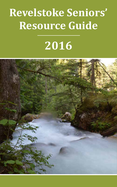# **Revelstoke Seniors' Resource Guide**

# **2016**

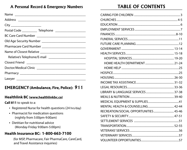## A Personal Record & Emergency Numbers

| City ________________________                               |
|-------------------------------------------------------------|
| Postal Code ____________ Telephone ________________________ |
|                                                             |
|                                                             |
|                                                             |
|                                                             |
|                                                             |
|                                                             |
|                                                             |
|                                                             |
|                                                             |

## **EMERGENCY (Ambulance, Fire, Police): 911**

#### Healthlink BC (www.healthlinkbc.ca)

Call 811 to speak to a:

- Registered Nurse for health questions (24 hrs/day)
- Pharmacist for medication questions (nightly from 5:00pm-9:00am)
- Dietitian for nutritional advice (Monday-Friday 9:00am-5:00pm)

## **Health Insurance BC: 1-800-663-7100**

(for MSP, Pharmacare, Fair PharmaCare, CareCard, and Travel Assistance inquiries)

## **TABLE OF CONTENTS**

| RECREATION/SOCIAL OPPORTUNITIES 45-46 |
|---------------------------------------|
|                                       |
|                                       |
|                                       |
|                                       |
|                                       |
|                                       |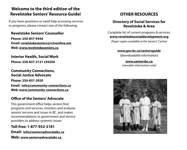## **Welcome to the third edition of the Revelstoke Seniors' Resource Guide!**

If you have questions or need help accessing services or programs, please contact one of the following:

#### **Revelstoke Seniors' Counsellor**

**Phone: 250-837-9456 Email: revelstokeseniors@rctvonline.net Web: www.revelstokeseniors.ca**

**Interior Health, Social Work**

**Phone: 250-837-2131 x50204**

**Community Connections, Social Justice Advocate Phone: 250-837-2920 Email: info@community-connections.ca Web: www.community-connections.ca**

#### **Office of the Seniors' Advocate**

This government office helps seniors find programs and services, monitors and analyzes seniors' services and issues in BC, and makes recommendations to government and service providers to address systemic issues.

**Toll-free: 1-877-952-3181 Email: info@seniorsadvocatebc.ca Web: www.seniorsadvocatebc.ca**

## **OTHER RESOURCES**

### **Directory of Social Services for Revelstoke & Area**

Complete list of current programs & services: **www.revelstokesocialdevelopment.org**

*(Paper copies available at the Seniors' Centre)* 

#### **www.gov.bc.ca/seniorsguide**

*(downloadable information)*

#### **www.seniorsbc.ca**

*(viewable information only)*

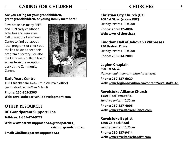#### **Are you caring for your grandchildren, great-grandchildren, or young family members?**

Revelstoke has many FREE and FUN early childhood activities and resources. Call or visit the Early Years Centre to find out about local programs or check out the link below to see their program directory. See also the Early Years bulletin board across from the reception desk at the Community Centre.



#### **Early Years Centre 1001 Mackenzie Ave., Rm. 120** (main office) (west side of Begbie View School)

**Phone: 250-805-2305 Web: revelstokeearlychilddevelopment.com**

**OTHER RESOURCES BC Grandparent Support Line Toll-free: 1-855-474-9777 Web: www.parentsupportbc.ca/grandparents\_ raising\_grandchildren**

**Email: GRGline@parentsupportbc.ca**

## **Christian City Church (C3) 108 1st St. W. (above RBC)**

*Sunday services: 10:00am*

**Phone: 250-837-4894 Web: www.c3church.ca**

#### **Kingdom Hall of Jehovah's Witnesses 250 Basford Drive** *Sunday services: 10:00am*

**Phone: 250-814-2000**

**Legion Chaplain 600 1st St. W.** *Non-denominational ministerial services.*

**Phone: 250-837-6020 Web: www.legionbcyukon.ca/content/revelstoke-46**

#### **Revelstoke Alliance Church 1559 Illecillewaet Rd.** *Sunday services: 10:30am*

**Phone: 250-837-4008 Web: www.revelstokealliance.com**

**Revelstoke Baptist 1806 Colbeck Road** *Sunday services: 10:30am*

**Phone: 250-837-9414 Web: www.revelstokebaptist.com**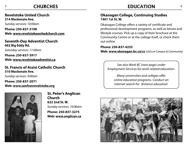## **CHURCHES**

**Revelstoke United Church 314 Mackenzie Ave.** 

*Sunday services: 10:00am*

**Phone: 250-837-3198 Web: www.revelstokeunitedchurch.com**

#### **Seventh-Day Adventist Church 662 Big Eddy Rd.**

*Saturday services: 11:00am*

**Phone: 250-837-3917 Web: www.revelstokeadventist.ca**

#### **St. Francis of Assisi Catholic Church 510 Mackenzie Ave.**

*Sunday services: 9:00am*

**Phone: 250-837-2071 Web: www.sanfranrevelstoke.org**



**St. Peter's Anglican Church 622 2nd St. W.** *Sunday services: 10:00am*

**Phone: 250-837-3275 Web: www.anglican.ca**

## *5* **EDUCATION** *6*

#### **Okanagan College, Continuing Studies 1401 1st St. W.**

Okanagan College offers a variety of certificate and professional development programs, as well as leisure and lifestyle courses. Pick up a copy of their brochure at the Community Centre or at the college itself, or check them out online.

**Phone: 250-837-4235 Web: www.okanagan.bc.ca/cs** (click on Campus & Community)

*See also Work BC (next page) under Employment Services for work-related education.* 

*Many universities and colleges offer online education programs. Conduct an internet search for 'distance education'.*

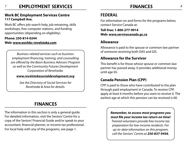## *7* **FINANCES** *8* **EMPLOYMENT SERVICES**

#### **Work BC Employment Services Centre 117 Campbell Ave.**

Work BC offers job-search help, job retraining, skills workshops, free computer stations, and funding opportunities (depending on eligibility).

#### **Phone: 250-814-0244 Web: www.workbc-revelstoke.com**

*Business-related services such as business employment financing, training, and counselling are offered by the Basin Business Advisors Program as well as the Community Futures Development Corporation of Revelstoke.* 

#### *www.revelstokesocialdevelopment.org*

*See the Directory of Social Services for Revelstoke & Area for details.* 

## **FINANCES**

The information in this section is only a general guide. For detailed information, visit the Seniors' Centre for a copy of the Seniors' Financial Guide and/or speak to your accountant, financial planner, or income tax professional. For local help with any of the programs, see page 1.

## **FEDERAL**

For information on and forms for the programs below, contact Service Canada at:

**Toll-free: 1-800-277-9914 Web: www.servicecanada.gc.ca**

## **Allowance**

Allowance is paid to the spouse or common-law partner of someone receiving both OAS and GIS.

## **Allowance for the Survivor**

This benefit is for those whose spouse or common-law partner has passed away. It provides additional money until age 65.

## **Canada Pension Plan (CPP)**

CPP is paid to those who have contributed to the plan through paid employment in Canada. To receive CPP, apply at least 6 months before you want to receive it. The earliest age at which this pension can be received is 60.

#### *Remember, to access most programs you must file your income tax return on time!*

*Trained volunteers provide free income tax preparation for low-income residents. For up-to-date information on this program, call the Seniors' Centre at 250-837-9456.*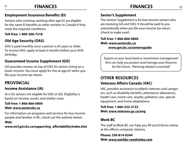#### *9* **FINANCES** *10* **FINANCES**

## **Employment Insurance Benefits (EI)**

Seniors who continue working after age 65 are eligible for the same EI benefits as other workers in Canada if they meet the required conditions.

#### **Toll-free: 1-800-206-7218**

## **Old Age Security (OAS)**

OAS is paid monthly once a person is 65 years or older. To receive OAS, apply at least 6 months before your 65th birthday.

## **Guaranteed Income Supplement (GIS)**

GIS provides money on top of OAS for seniors living on a lower income. You must apply for this at age 65 when you file your income tax return.

## **PROVINCIAL**

## **Income Assistance (IA)**

IA is for seniors not eligible for OAS or GIS. Eligibility is based on income, assets, and shelter costs.

#### **Toll-free: 1-866-866-0800 Web: www.seniorsbc.ca**

For information on programs and services for low-income people and families in BC, check out the website below:

#### **Web:**

**www.mcf.gov.bc.ca/supporting\_affordability/index.htm**

## **Senior's Supplement**

The Seniors' Supplement is for low-income seniors who are receiving GIS and OAS. It should be paid to you automatically when you file your income tax return (check to make sure!).

#### **Toll-free: 1-866-866-0800 Web: www.seniorsbc.ca www.gov.bc.ca/seniorsguide**

*Experts at your local bank or investment management firm can help you protect and manage your finances for the future. Planning ahead is essential!*

## **OTHER RESOURCES Veterans Affairs Canada (VAC)**

VAC provides assistance to elderly veterans and caregivers, such as disability benefits, attendance allowances, health care, home care, respite, palliative care, special equipment, and home adaptations.

**Toll-free: 1-866-522-2122 Web: www.veterans.gc.ca/eng**

## **Work BC**

The staff at Work BC can help you fill out EI forms online at the office's computer stations.

**Phone: 250-814-0244 Web: www.workbc-revelstoke.com**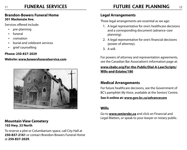## **FUNERAL SERVICES**

#### **Brandon-Bowers Funeral Home 301 Mackenzie Ave.**

Services offered include:

- pre-planning
- • funeral
- • cremation
- burial and celebrant services
- • grief counselling

#### **Phone: 250-837-2029**

#### **Website: www.bowersfuneralservice.com**



#### **Mountain View Cemetery 103 Hwy. 23 North**

To reserve a plot or Columbarium space, call City Hall at **250-837-2161** or contact Brandon-Bowers Funeral Home at **250-837-2029**.

#### **Legal Arrangements**

Three legal arrangements are essential as we age:

- 1. A legal representative for one's healthcare decisions and a corresponding document (advance-care planning).
- 2. A legal representative for one's financial decisions (power of attorney).
- 3. A will.

For powers of attorney and representation agreements, see the Canadian Bar Association's information page at:

#### **www.cbabc.org/For-the-Public/Dial-A-Law/Scripts/ Wills-and-Estates/180**

## **Medical Arrangements**

For future healthcare decisions, see the Government of BC's pamphlet *My Voice*, available at the Seniors' Centre.

**See it online at: www.gov.bc.ca/advancecare**

### **Wills**

Go to **www.seniorsbc.ca** and click on Financial and Legal Matters, or speak to your lawyer or notary public.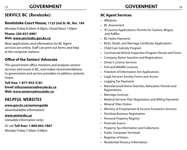## **SERVICE BC (Revelstoke)**

### **Revelstoke Court House, 1123 2nd St. W., Rm. 104**

*Monday-Friday 8:30am-4:30pm, Closed Noon-1:00pm*

#### **Phone: 250-837-6981**

#### **Web: www.servicebc.gov.bc.ca**

Most applications and information for BC Agent services are online. Staff can print out forms and help at the computer stations.

## **Office of the Seniors' Advocate**

This government office monitors and analyzes seniors' services and issues in BC, and makes recommendations to government and service providers to address systemic issues.

**Toll-free: 1-877-952-3181 Email: info@seniorsadvocate.bc.ca Web: www.seniorsadvocatebc.ca**

## **HELPFUL WEBSITES**

#### **www.gov.bc.ca/seniorsguide**

(downloadable information)

#### **www.seniorsbc.ca**

(viewable information only)

Or call **Toll-free: 1-800-663-7867**

*Monday-Friday 7:30am-5:00pm*

## **BC Agent Services**

- Affidavits
- • BC Assessment
- • 'B' Licence Applications: Permits for Casinos, Bingos, and Raffles
- • BC Hydro Payments
- • Birth, Death, and Marriage Certificate Applications
- • Child Care Subsidy Program
- • Commercial Vehicle Inspection Program Decals and Forms
- • Company Name Searches and Registrations
- **Driver's Licence Services**
- • Fish and Wildlife Licences
- • Freedom of Information Act Applications
- • Legal Services Society Forms and Access
- • Logging Tax Payments
- • Manufactured Home Searches, Relocation Permits and Registrations
- • Marriage Licences
- **Medical Services Plan Registration and Billing Payments**
- • Mineral Titles Online
- Ministry of Employment & Income Assistance Services
- OneStop Business Registration
- • Personal Property Registry
- • Pesticide Exams
- • Property Tax Information and Collections
- • Public Computer Terminals
- **Registrar of Voters**
- • Residential Tenancy Information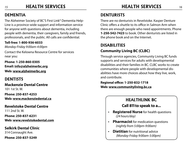## **DEMENTIA**

The Alzheimer Society of BC'S First Link® Dementia Help-Line is a province-wide support and information service for anyone with questions about dementia, including people with dementia, their caregivers, family and friends, professionals, and the public. All calls are confidential.

### **Toll-free: 1-800-936-6033**

*Monday-Friday 9:00am-4:00pm* 

Contact the Kelowna Resource Centre for services near you:

**Phone: 1-250-860-0305 Email: info@alzheimerbc.org**

**Web: www.alzheimerbc.org**

## **DENTISTS**

**Mackenzie Dental Centre**  101 1st St. W.

**Phone: 250-837-4253 Web: www.mackenziedental.ca**

**Revelstoke Dental Centre**  111 2nd St. W.

**Phone: 250-837-6231 Web: www.revelstokedental.com**

**Selkirk Dental Clinic** 

314 Connaught Ave.

**Phone: 250-837-5249**

## **DENTURISTS**

and contribute.

There are no denturists in Revelstoke. Kasper Denture Clinic offers a shuttle to its office in Salmon Arm when there are enough people who need appointments. Phone **1-250-542-7423** to book. Other denturists are listed in the phone book and on the Internet.

## **DISABILITIES Community Living BC (CLBC)**

#### Through service agencies, Community Living BC funds supports and services for adults with developmental disabilities and their families in BC. CLBC works to create communities where people with developmental disabilities have more choices about how they live, work,

**Regional office: 1-250-832-1718 Web: www.communityliving.bc.ca**

## **Healthlink BC Call 811 to speak to a...**

- • **Registered Nurse** for health questions  *(24 hours/day)*
- • **Pharmacist** for medication questions  *(nightly from 5:00pm-9:00am)*
- • **Dietitian** for nutritional advice *(Monday-Friday 9:00am-5:00pm)*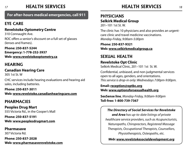#### *17* **HEALTH SERVICES** *18* **HEALTH SERVICES**

**For after-hours medical emergencies, call 911**

## **EYE CARE**

## **Revelstoke Optometry Centre**

310 Connaught Ave. ROC offers a senior's discount on a full set of glasses (lenses and frames).

**Phone: 250-837-5244 Emergency: 1-778-252-3937 Web: www.revelstokeoptometry.ca**

## **HEARING**

## **Canadian Hearing Care**

305 1st St. W

CHC services include hearing evaluations and hearing aid sales, including batteries.

**Phone: 250-837-3011 Web: www.revelstoke.canadianhearingcare.com**

## **PHARMACIES**

**Peoples Drug Mart** 555 Victoria Rd., in the Cooper's Mall

**Phone: 250-837-5191 Web: www.peoplesdrugmart.com**

## **Pharmasave**

307 Victoria Rd.

**Phone: 250-837-2028 Web: www.pharmasaverevelstoke.com**

## **PHYSICIANS Selkirk Medical Group**

201–101 1st St. W.

The clinic has 10 physicians and also provides an urgentcare clinic and travel medicine vaccinations. *Monday-Friday, 9:00am-5:00pm*

**Phone: 250-837-9321 Web: www.selkirkmedicalgroup.ca**

## **SEXUAL HEALTH Revelstoke Opt Clinic**

Selkirk Medical Clinic, 201–101 1st St. W.

Confidential, unbiased, and non-judgmental services open to all ages, genders, and orientations. *This service is drop-in only: Wednesdays 7:00pm-9:00pm.*

**Email: reception@optbc.org Web: www.optionsforsexualhealth.org**

**SexSense line**, *Monday-Friday, 9:00am-9:00pm*  **Toll-free: 1-800-739-7367**

### *The Directory of Social Services for Revelstoke*

*and Area has up-to-date listings of private healthcare service providers, such as Acupuncturists, Naturopaths, Chiropractors, Registered Massage Therapists, Occupational Therapists, Counsellors, Physiotherapists, Osteopaths, etc.* 

*Web: www.revelstokesocialdevelopment.org*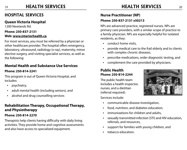## *19* **HEALTH SERVICES** *20* **HEALTH SERVICES**

## **HOSPITAL SERVICES**

## **Queen Victoria Hospital**

1200 Newlands Rd.

#### **Phone: 250-837-2131 Web: www.interiorhealth.ca**

For most services, you must be referred by a physician or other healthcare provider. The hospital offers emergency, laboratory, ultrasound, radiology (x-ray), maternity, minor elective surgery, and visiting specialist services, as well as the following:

## **Mental Health and Substance Use Services**

#### **Phone: 250-814-2241**

This program is out of Queen Victoria Hospital, and includes:

- psychiatry,
- adult mental health (including seniors), and
- alcohol and drug counselling services

## **Rehabilitation Therapy, Occupational Therapy, and Physiotherapy**

#### **Phone: 250-814-2270**

Therapists help clients having difficulty with daily living activities. They provide home and cognitive assessments and also have access to specialized equipment.

### **Nurse Practitioner (NP)**

#### **Phone: 250-837-2131 x50213**

NPs are advanced-practice, registered nurses. NPs are primary care providers, with a similar scope of practice to a family physician. NPs are especially helpful for isolated residents, as they:

- conduct home visits.
- provide medical care to the frail elderly and to clients with complex chronic diseases,
- • prescribe medications, order diagnostic testing, and
- complement the care provided by physicians.

## **Public Health Phone: 250-814-2244**

The public health team includes a health inspector, nurses, and a dietitian (referral required).

Services include:

- • communicable disease investigation,
- • food, nutrition, and diabetes education,
- immunizations for children and adults,
- • sexually transmitted infection (STI) and HIV education, referrals, and resources,
- support for families with young children, and
- tobacco education.

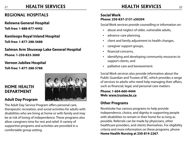## *21* **HEALTH SERVICES** *22* **HEALTH SERVICES**

## **REGIONAL HOSPITALS**

#### **Kelowna General Hospital**

**Toll-free: 1-888-877-4442**

#### **Kamloops Royal Inland Hospital**

**Toll-free: 1-877-288-5688**

#### **Salmon Arm Shuswap Lake General Hospital**

**Phone: 1-250-833-3600**

#### **Vernon Jubilee Hospital**

**Toll-free: 1-877-288-5788**

## **HOME HEALTH DEPARTMENT**

## **Adult Day Program**



The Adult Day Service Program offers personal care, therapeutic recreation, and social activities for adults with disabilities who are living at home or with family and may be at risk of losing of independence. These programs also allow caregivers time for rest and relief. A variety of supportive programs and activities are provided in a comfortable group setting.

#### **Social Work Phone: 250-837-2131 x50204**

Social Work services provide counselling or information on:

- abuse and neglect of older, vulnerable adults,
- advance-care planning,
- • client and family adjustment to health changes,
- • caregiver support groups,
- • financial concerns,
- • identifying and developing community resources to support clients, and
- • palliative care and bereavement.

Social Work services also provide information about the Public Guardian and Trustee of BC, which provides a range of services to adults who need help managing their affairs, such as financial, legal, and personal-care matters.

**Phone: 1-604-660-4444 Web: www.trustee.bc.ca**

## **Other Programs**

Revelstoke has various programs to help provide independence, choice, and dignity in supporting people with disabilities to remain in their home for as long as possible. Referrals can be made by physicians, other healthcare providers, and clients themselves. For eligibility criteria and more information on these programs, phone **Home Health Nursing at 250-814-2267**.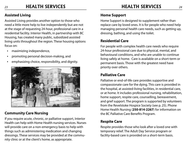## *23* **HEALTH SERVICES** *24* **HEALTH SERVICES**

## **Assisted Living**

Assisted Living provides another option to those who need a little more help to live independently but are not at the stage of requesting 24-hour, professional care in a residential facility. Interior Health, in partnership with BC Housing, has created many public, subsidized assisted living units throughout the region. These housing options focus on:

- maximizing independence,
- promoting personal decision-making, and
- emphasizing choice, responsibility, and dignity.



## **Community Care Nursing**

If you require acute, chronic, or palliative support, Interior Health can help with Home Health nursing services. Nurses will provide care on a non-emergency basis to help with things such as administering medication and changing dressings. These services may be provided at the community clinic or at the client's home, as appropriate.

## **Home Support**

Home Support is designed to supplement rather than replace care by loved ones. It is for people who need help managing personal health care needs, such as getting up, dressing, bathing, and using the toilet.

## **Residential Care**

For people with complex health care needs who require 24-hour professional care due to physical, mental, and behavioural conditions, and who are unable to continue living safely at home. Care is available on a short-term or permanent basis. Those with the greatest need have priority over others.

## **Palliative Care**

Palliative or end-of-life care provides supportive and compassionate care for the dying. This care is provided in the hospital, at assisted-living facilities, in residential care, or at home. It includes professional nursing, rehabilitation, home support, respite care, counselling, bereavement, and grief support. The program is supported by volunteers from the Revelstoke Hospice Society (see p. 25). Phone Home Health Nursing (**250-814-2267**) for information on the BC Palliative Care Benefits Program.

## **Respite Care**

Respite provides those who look after a loved one with temporary relief. The Adult Day Service program or facility-based care is provided on a short-term basis.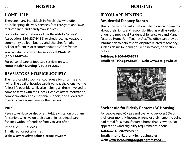## **HOME HELP**

There are many individuals in Revelstoke who offer housekeeping, delivery services, foot care, yard and lawn maintenance, and handyman services.

**HOSPICE**

For contact information, call the Revelstoke Seniors' Association (**250-837-9456**) or check local newspapers, community bulletin boards, and churches for ads. Ask for references or recommendations from friends.

You can also post an ad for services at **Work BC (250-814-0244)**.

For personal care or foot care services only, call **Home Health Nursing (250-814-2267)**.

## **Revelstoke Hospice Society**

The hospice philosophy encourages a focus on life and living. The goal of hospice care is to help the client live the fullest life possible, while also helping all those involved to come to terms with the illness. Hospice offers information, companionship, and emotional support, and allows caregivers to have some time for themselves.

## **PALS**

Revelstoke Hospice also offers PALS, a visitation program for seniors who live on their own or in residential care facilities without friends or family to visit often.

**Phone: 250-837-5523**

**Email: revhosp@telus.net Web: www.revelstokehospicesociety.com**

## **IF YOU ARE RENTING Residential Tenancy Branch**

This office provides information to landlords and tenants about their rights and responsibilities, as well as options under the provincial Residential Tenancy Act and Manufactured Home Park Tenancy Act. The office can provide information to help resolve disputes related to tenancy, such as claims for damages, rent increases, or eviction notices.

#### **Toll-free: 1-800-665-8779 Email: HSRTO@gov.bc.ca Web: www.rto.gov.bc.ca**



## **Shelter Aid for Elderly Renters (BC Housing)**

For people aged 60 years and over who pay over 30% of their gross monthly income on rent for their home, including pad rental for a manufactured home that is owned. For applications and eligibility requirements, phone:

**Toll-free: 1-800-257-7756 Email: InteriorRegion@bchousing.org Web: www.bchousing.org/programs/SAFER**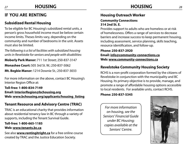#### *27* **HOUSING** *28* **HOUSING**

## **IF YOU ARE RENTING**

## **Subsidized Rental Housing**

To be eligible for BC Housing's subsidized rental units, a person's gross household income must be below certain income limits. Theses limits vary, depending on the community and number of bedrooms in the unit. Assets must also be limited.

*The following is a list of facilities with subsidized housing units in Revelstoke for seniors and people with disabilities:*

**Moberly Park Manor:** 711 1st Street; 250-837-3147

**Monashee Court:** 505 3rd St. W.; 250-837-5062

**Mt. Begbie Manor:** 1214 Downie St.; 250-837-3033

For more information on the above, contact BC Housing's Interior Region Office at:

**Toll-free: 1-800-834-7149 Email: InteriorRegion@bchousing.org Web: www.bchousing.org/applicants/housing\_listing**

## **Tenant Resource and Advisory Centre (TRAC)**

TRAC is an educational charity that provides information about residential tenancy law in BC through a variety of supports, including the Tenant Survival Guide.

#### **Toll-free: 1-800-665-1185 Web: www.tenants.bc.ca**

See also **www.rentingitright.ca** for a free online course created by TRAC and the Justice Education Society.

## **Housing Outreach Worker**

#### **Community Connections 314 2nd St. E.**

Provides support to adults who are homeless or at risk of homelessness. Offers a range of services to decrease barriers and increase success to keep permanent housing, including assessment, service planning, skills teaching, resource identification, and follow-up.

#### **Phone: 250-837-2920 Email: info@community-connections.ca Web: www.community-connections.ca**

## **Revelstoke Community Housing Society**

RCHS is a non-profit corporation formed by the citizens of Revelstoke in conjunction with the municipality and BC Housing. Its primary objective is to provide, manage, and promote a range of affordable housing options accessible to local residents. For available units, contact RCHS.

**Phone: 250-837-5345**

*For more information on housing, see the Seniors' Financial Guide under BC Housing; copies available at the Seniors' Centre.*

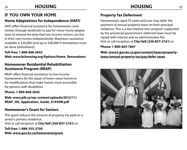## **IF YOU OWN YOUR HOME**

## **Home Adaptations for Independence (HAFI)**

HAFI offers financial assistance for homeowners (and renters through landlords) to pay for minor home adaptations to extend the time that low-income seniors can live in their own homes independently. Maximum assistance available is \$20,000 (and up to \$40,000 if renovations must be done beforehand).

**Toll-free: 1-800-668-2642 Web: www.bchousing.org/Options/Home\_Renovations**

## **Homeowner Residential Rehabilitation Assistance Program (RRAP)**

RRAP offers financial assistance to low-income homeowners for the repair of lower-value homes or for modifications that make homes more accessible for persons with disabilities.

**Phone: 1-800-668-2642** 

**Web: www.pib.ca/wp-content/uploads/2012/11/ RRAP\_HO\_Application\_Guide\_61939W.pdf**

## **Homeowner's Grant for Seniors**

This grant reduces the amount of property tax paid on a senior's primary residence. Visit or call reception at **City Hall (250-837-2161)** or

**Toll-free: 1-888-355-2700 Web: www.gov.bc.ca/homeownergrant** 

## **Property Tax Deferment**

Homeowners aged 55 years and over may defer the payment of annual property taxes on their principal residence. This is a low-interest loan program supported by the provincial government. Deferred taxes must be repaid with interest and an administration fee. Visit or call reception at **City Hall (250-837-2161)** or

#### **Phone: 1-800-663-7867**

**Web: www2.gov.bc.ca/gov/content/taxes/propertytaxes/annual-property-tax/pay/defer-taxes**

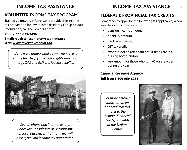#### *31* **INCOME TAX ASSISTANCE** *32* **INCOME TAX ASSISTANCE**

## **VOLUNTEER INCOME TAX PROGRAM**

Trained volunteers in Revelstoke provide free income tax preparation for low-income residents. For up-to-date information, call the Seniors' Centre.

## **Phone: 250-837-9456**

#### **Email: revelstokeseniors@rctvonline.net Web: www.revelstokeseniors.ca**

*If you use a professional income tax service, ensure they help you access eligible provincial (e.g., OAS and GIS) and federal benefits.*



*Search phone and Internet listings under Tax Consultants or Accountants for local businesses that (for a fee) will assist you with income tax preparation.*

## **FEDERAL** & **PROVINCIAL TAX CREDITS**

Remember to apply for the following (as applicable) when you file your income tax return:

- pension income amount,
- disability amount,
- medical expenses,
- GST tax credit.
- expenses for an attendant or full-time care in a nursing home, and/or
- age amount for those who turn 65 (or are older) during the year.

**Canada Revenue Agency Toll-free: 1-800-959-8281** 

*For more detailed information on financial matters, refer to the Seniors' Financial Guide, available at the Seniors' Centre.*

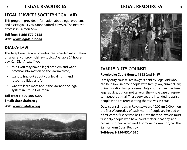#### *33* **LEGAL RESOURCES** *34* **LEGAL RESOURCES**

## **LEGAL SERVICES SOCIETY/LEGAL AID**

This program provides information about legal problems and assists you if you cannot afford a lawyer. The nearest office is in Salmon Arm.

**Toll free: 1-866-577-2525 Web: www.legalaid.bc.ca**

## **DIAL-A-LAW**

This telephone service provides free recorded information on a variety of provincial law topics. Available 24 hours/ day. Call Dial-A-Law if you:

- think you may have a legal problem and want practical information on the law involved,
- want to find out about your legal rights and responsibilities, and/or
- want to learn more about the law and the legal system in British Columbia.

**Toll-free: 1-800-565-5297**

**Email: cba@cbabc.org**

#### **Web: www.dialalaw.org**





### **FAMILY DUTY COUNSEL Revelstoke Court House, 1123 2nd St. W.**

Family duty counsel are lawyers paid by Legal Aid who can help low-income people with family law, criminal law, or immigration law problems. Duty counsel can give free legal advice, but cannot take on the whole case or represent people at trial. These services are intended to assist people who are representing themselves in court.

Duty counsel hours in Revelstoke are 10:00am-2:00pm on the first Wednesday of each month. People are helped on a first-come, first-served basis. Note that the lawyers must first help people who have court matters that day, and can assist others afterward. For more information, call the Salmon Arm Court Registry:

**Toll-free: 1-250-832-1610**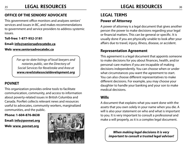## **OFFICE OF THE SENIORS' ADVOCATE**

This government office monitors and analyzes seniors' services and issues in BC, and makes recommendations to government and service providers to address systemic issues.

**Toll-free: 1-877-952-3181**

**Email: info@seniorsadvocatebc.ca**

#### **Web: www.seniorsadvocatebc.ca**

*For up-to-date listings of local lawyers and notaries public, see the Directory of Social Services for Revelstoke and Area at www.revelstokesocialdevelopment.org*

## **POVNET**

This organization provides online tools to facilitate communication, community, and access to information about poverty-related issues in British Columbia and Canada. PovNet collects relevant news and resources useful to advocates, community workers, marginalized communities, and the public.

## **Phone: 1-604-876-8638**

**Email: info@povnet.org Web: www. povnet.org**



## **LEGAL TERMS Power of Attorney**

A power of attorney is a legal document that gives another person the power to make decisions regarding your legal or financial matters. This can be general or specific. It is usually done if you are physically unable to look after your affairs due to travel, injury, illness, disease, or accident.

## **Representation Agreement**

This agreement is a legal document that appoints someone to make decisions for you about finances, health, and/or personal-care matters if you are incapable of making decisions independently. You can choose when or under what circumstances you want the agreement to start. You can also choose different representatives to make different decisions. For example, you may choose your daughter to handle your banking and your son to make medical decisions.

## **Wills**

A document that explains what you want done with the assets that you own solely in your name when you die. A will is also your statement on who and what is important to you. It is very important to consult a professional and make a will properly, as it is a complex legal document.

> *When making legal decisions it is very important to consult a trusted legal advisor!*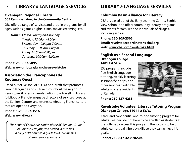#### *37* **LIBRARY** & **LANGUAGE SERVICES** *38* **LIBRARY** & **LANGUAGE SERVICES**

#### **Okanagan Regional Library 605 Campbell Ave., in the Community Centre**

ORL offers a range of services and drop-in programs for all ages, such as games nights, crafts, movie streaming, etc.

*Hours: Closed Sunday and Monday Tuesday: 12:00pm-8:00pm Wednesday: 12:00pm-7:00pm Thursday: 10:00am-4:00pm Friday: 10:00am-5:00pm Saturday: 10:00am-5:00pm*

**Phone: 250-837-5095 Web: www.orl.bc.ca/branches/revelstoke**

### **Association des Francophones de Kootenay Ouest**

Based out of Nelson, AFKO is a non-profit that promotes French language and culture throughout the region. In Revelstoke, it offers a weekly radio show, travelling library (bibliobus), French-language directory of services (copy at the Seniors' Centre), and events celebrating French culture that are open to everyone.

#### **Phone: 1-250-352-3516 Web: www.afko.ca**

*The Seniors' Centre has copies of the BC Seniors' Guide in Chinese, Punjabi, and French. It also has a copy of L'Annuaire, a guide to BC businesses offering services in French.*

## **Columbia Basin Alliance for Literacy**

CBAL is based out of the Early Learning Centre, Begbie View School, and offers community literacy programs and events for families and individuals of all ages, including seniors.

**Phone: 250-805-2305 Email: revelstokecoordinator@cbal.org Web: www.cbal.org/revelstoke.html**

#### **English as a Second Language Okanagan College 1401 1st St. W.**

ESL programs include free English language tutoring, weekly learning sessions, field trips, and other services to eligible adults who are residents of Canada.



**Phone: 250-837-4235**

#### **Revelstoke Volunteer Literacy Tutoring Program Okanagan College, 1401 1st St. W.**

A free and confidential one-to-one tutoring program for adults. Learners do not have to be enrolled as students at the college to access this program. The focus is to help adult learners gain literacy skills so they can achieve life goals.

**Phone: 250-837-4235 x6504**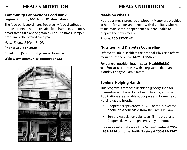#### *39* **MEALS** & **NUTRITION** *40* **MEALS** & **NUTRITION**

#### **Community Connections Food Bank Legion Building, 600 1st St. W., downstairs**

The food bank coordinates free weekly food distribution to those in need: non-perishable food hampers, and milk, bread, fresh fruit, and vegetables. The Christmas Hamper program is also offered each year.

*Hours: Fridays 8:30am-11:00am*

**Phone: 250-837-2920**

**Email: info@community-connections.ca**

#### **Web: www.community-connections.ca**



#### **Meals on Wheels**

Nutritious meals prepared at Moberly Manor are provided at home for seniors and people with disabilities who want to maintain some independence but are unable to prepare their own meals.

**Phone: 250-837-3147**

## **Nutrition and Diabetes Counselling**

Offered at Public Health at the hospital. Physician referral required. Phone **250-814-2131 x50276**.

For general nutrition inquiries, call **HealthlinkBC toll-free at 811** to speak with a registered dietitian, Monday-Friday 9:00am-5:00pm.

## **Seniors' Helping Hands**

This program is for those unable to grocery shop for themselves and have Home Health Nursing approval. Applications are available at Coopers and Home Health Nursing (at the hospital).

- • Coopers accepts orders (\$25.00 or more) over the phone on Wednesdays from 10:00am-11:00am.
- Seniors' Association volunteers fill the order and Coopers delivers the groceries to your home.

For more information, call the Seniors' Centre at **250- 837-9456** or Home Health Nursing at **250-814-2267**.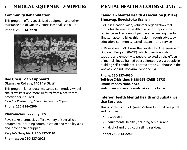## **Community Rehabilitation**

This program offers specialized equipment and other assistance out of Queen Victoria Hospital (see p. 19).

#### **Phone: 250-814-2270**



#### **Red Cross Loan Cupboard Okanagan College, 1401 1st St. W.**

This program lends crutches, canes, commodes; wheelchairs, walkers, and more. Referral from a healthcare practitioner required. *Monday, Wednesday, Friday: 10:00am-2:00pm*

#### **Phone: 250-814-0200**

#### **Pharmacies** (see also p. 17)

Revelstoke pharmacies offer a variety of specialized equipment, including communication and mobility aids and incontinence supplies.

**People's Drug Mart: 250-837-5191**

**Pharmasave: 250-837-2028**

## *41* **MENTAL HEALTH** & **COUNSELLING** *42* **MEDICAL EQUIPMENT** & **SUPPLIES**

### **Canadian Mental Health Association (CMHA) Shuswap, Revelstoke Branch**

CMHA is a nation-wide, volunteer organization that promotes the mental health of all and supports the resilience and recovery of people experiencing mental illness. It accomplishes this mission through advocacy, education, community-based research, and service.

In Revelstoke, CMHA runs the Revelstoke Awareness and Outreach Program (RAOP), which offers friendship, support, and empathy to people isolated by the effects of mental illness. Trained peer volunteers assist people in building self-confidence. Located at the Clubhouse in the laneway behind Skookum Cycle and Ski.

**Phone: 250-837-6030 Toll-free Crisis Line: 1-888-353-CARE (2273) Email: info.sr@cmha.bc.ca Web: www.shuswap-revelstoke.cmha.bc.ca**

#### **Interior Health Mental Health and Substance Use Services**

This program is out of Queen Victoria Hospital (see p. 19), and includes:

- psychiatry,
- adult mental health (including seniors), and
- alcohol and drug counselling services.

#### **Phone: 250-814-2241**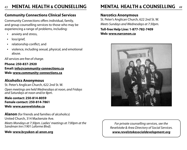## **Community Connections Clinical Services**

Community Connections offers individual, family, and group counselling services to those who may be experiencing a range of problems, including:

- anxiety and stress,
- loss/grief,
- relationship conflict, and
- violence, including sexual, physical, and emotional abuse.

*All services are free of charge.*

**Phone: 250-837-2920 Email: info@community-connections.ca Web: www.community-connections.ca**

## **Alcoholics Anonymous**

St. Peter's Anglican Church, 622 2nd St. W. *Open meetings are held Wednesdays at noon, and Fridays and Saturdays at noon and/or 8pm.* 

**Male contact: 250-814-8059 Female contact: 250-814-7861 Web: www.aarevelstoke.ca**

**Alanon** (for friends and families of alcoholics) United Church, 314 Mackenzie Ave. *Meets Mondays at 7:30pm. Ladies' meetings at 7:00pm at the Sandman Inn (1901 Laforme Blvd).*

#### **Web: www.bcyukon-al-anon.org**

## *43* **MENTAL HEALTH** & **COUNSELLING** *44* **MENTAL HEALTH** & **COUNSELLING**

#### **Narcotics Anonymous**

St. Peter's Anglican Church, 622 2nd St. W. *Meets Sundays and Wednesdays at 7:30pm.* 

**Toll-free Help Line: 1-877-782-7409 Web: www.narconon.ca**



*For private counselling services, see the Revelstoke & Area Directory of Social Services. www.revelstokesocialdevelopment.org*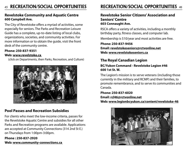#### **Revelstoke Community and Aquatic Centre 600 Campbell Ave.**

The City of Revelstoke offers a myriad of activities, some especially for seniors. The Parks and Recreation Leisure Guide has a complete, up-to-date listing of local clubs, organizations, societies, and community activities. For more information or to obtain the guide, visit the front desk of the community centre.

#### **Phone: 250-837-9351 Web: www.revelstoke.ca**

(click on Departments, then Parks, Recreation, and Culture)



### **Pool Passes and Recreation Subsidies**

For clients who meet the low-income criteria, passes for the Revelstoke Aquatic Centre and subsidies for all other Parks and Recreation programs are available. Applications are accepted at Community Connections (314 2nd St E.) on Thursdays from 1:00pm-3:00pm.

#### **Phone : 250-837-2920 Web: www.community-connections.ca**

## *45* **RECREATION/SOCIAL OPPORTUNITIES** *46* **RECREATION/SOCIAL OPPORTUNITIES**

#### **Revelstoke Senior Citizens' Association and Seniors' Centre 603 Connaught Ave.**

RSCA offers a variety of activities, including a monthly birthday party, fitness classes, and computer lab.

Membership is \$10/year and most activities are free.

**Phone: 250-837-9456 Email: revelstokeseniors@rctvonline.net Web: www.revelstokeseniors.ca**

## **The Royal Canadian Legion**

#### **BC/Yukon Command - Revelstoke Legion #46 600 1st St. W.**

The Legion's mission is to serve veterans (including those currently in the military and RCMP) and their families, to promote remembrance, and to serve its communities and Canada.

**Phone: 250-837-6020 Email: rcl46@rctvonline.net**

**Web: www.legionbcyukon.ca/content/revelstoke-46**

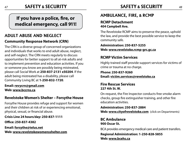## **If you have a police, fire, or medical emergency, call 911!**

## **ADULT ABUSE and NEGLECT Community Response Network (CRN)**

The CRN is a diverse group of concerned organizations and individuals that works to end adult abuse, neglect, and self-neglect. The CRN meets regularly to discuss opportunities for better support to all at-risk adults and to implement prevention and education activities. If you or someone you know are possibly being mistreated, please call Social Work at **250-837-2131 x50204**. If the adult being mistreated has a disability, please call Community Living BC at **1-250-832-1720**.

**Email: revycrn@gmail.com Web: www.bccrns.ca**

## **Revelstoke Women's Shelter – Forsythe House**

Forsythe House provides refuge and support for women and their children at risk of or experiencing emotional, physical, sexual, or financial abuse.

**Crisis Line 24 hours/day: 250-837-1111**

**Office: 250-837-4382**

**Email: forsythe@telus.net Web: www.revelstokewomensshelter.com**

## **AMBULANCE, FIRE,** & **RCMP**

#### **RCMP Detachment 404 Campbell Ave.**

The Revelstoke RCMP aims to preserve the peace, uphold the law, and provide the best possible service to keep the community safe.

**Administration: 250-837-5255 Web: www.revelstoke.rcmp-grc.gc.ca**

## **RCMP Victim Services**

Highly trained staff provide support services for victims of crime or trauma at no charge.

**Phone: 250-837-9260 Email: victim.services@revelstoke.ca**

### **Fire Rescue Services 227 4th St. W.**

On request, the Fire Inspector conducts free smoke alarm checks, group fire extinguisher training, and other fire education activities.

**Administration: 250-837-2884 Web: www.cityofrevelstoke.com** (click on Departments)

### **BC Ambulance 900 Oscar St.**

BCA provides emergency medical care and patient transfers.

**Regional Administration: 1-250-828-5855 Web: www.bcehs.ca**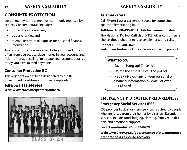## *49* **SAFETY** & **SECURITY** *50* **SAFETY** & **SECURITY**

## **CONSUMER PROTECTION**

Loss of money is the crime most commonly reported by seniors. Consumer fraud includes:

- home renovation scams.
- bogus charities, and
- telemarketer/e-mail requests for personal financial information.

Typical scams include supposed lottery wins and prizes, offers from overseas to place money in your account, and "It's the manager calling" to update your account details or to say you have missed payments.

## **Consumer Protection BC**

This organization has been designated by the BC government to address consumer complaints.

**Toll-free: 1-888-564-9963 Web: www.consumerprotectionbc.ca**



#### **Telemarketers**

Call **Phone Busters**, a central source for complaints against telemarketing fraud:

#### **Toll-free: 1-888-495-8501. Ask for 'Seniors Busters'.**

The **National Do Not Call List** (DNCL) gives consumers a choice about whether to receive telemarketing calls.

**Phone: 1-866-580-3625**

**Web: www.Innte-dncl.gc.ca** (lowercase 'L'; not uppercase 'i')

#### **WHAT TO DO:**

- Say no! Hang up! Close the door!
- Delete the email! Or call the police!
- NEVER give out any of your personal or financial information by email or over the phone!

## **EMERGENCY** & **DISASTER PREPAREDNESS Emergency Social Services (ESS)**

ESS provides basic short-term services required by people who are forced from their homes by disasters. Essential services include: food, lodging, clothing, family reunification, and emotional support.

#### **Local Coordinator: 250-837-8629**

**Web: www2.gov.bc.ca/gov/content/safety/emergencypreparedness-response-recovery**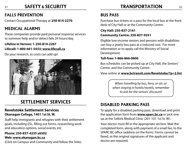#### *51* **TRANSPORTATION** *52* **SAFETY** & **SECURITY**

## **FALLS PREVENTION**

Contact Occupational Therapy at **250-814-2270**.

## **MEDICAL ALARMS**

These companies provide paid personal response services to summon help and/or detect falls 24 hours/day.

#### **Lifeline in Vernon: 1-250-814-2267 Lifecall: 1-800-661-5433; www.lifecall.ca**

Do your research, as costs can add up!



## **SETTLEMENT SERVICES**

#### **Revelstoke Settlement Services Okanagan College, 1401 1st St. W.**

Staff help immigrants and refugees with their settlement goals, including ESL, filling out forms, researching work and education options, social events, etc.

### **Phone: 250-837-4235 x6502**

**Web: www.okanagan.bc.ca**

(Click on Campus and Community and follow the links)

## **BUS PASS**

Purchase bus tickets or a pass for the local bus at the front desk of City Hall or at the Community Centre.

#### **City Hall: 250-837-2161 Community Centre: 250-837-9351**

Eligible low-income seniors and persons with disabilities can buy a yearly bus pass at a reduced cost. For more information or to apply call the Ministry of Social Development.

#### **Toll-free: 1-866-866-0800**

Bus schedules can be picked up at City Hall, the Seniors' Centre, and the Community Centre.

View online at **www.bctransit.com/Revelstoke/?p=2.list**

*When travelling by bus, ferry, or air, or when staying in hotels/motels, remember to ask for the seniors' discount!*

## **DISABLED PARKING PASS**

To apply for a disabled parking pass, download and print the application form from **www.sparc.bc.ca** or pick one up at the Selkirk Medical Clinic (201-101 1st St. W).

Your doctor must fill in the appropriate section. Mail the completed form, along with payment of a small fee, to the SPARC BC office (address on the form). Forms cannot be faxed, as the original signatures of the applicant and doctor are required.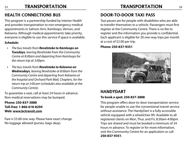## *53* **TRANSPORTATION** *54* **TRANSPORTATION**

## **HEALTH CONNECTIONS BUS**

This program is a partnership funded by Interior Health and provides transportation to non-emergency medical appointments in Salmon Arm, Kamloops, Vernon, and Kelowna. Although medical appointments take priority, everyone is eligible to use this service if space is available.

#### *Schedule:*

- *• The bus travels from Revelstoke to Kamloops on Tuesdays, leaving Revelstoke from the Community Centre at 8:00am and departing from Kamloops for the return trip at 3:00pm.*
- *The bus travels from <b>Revelstoke to Kelowna on Wednesdays, leaving Revelstoke at 8:00am from the Community Centre and departing from Kelowna at the hospital and Orchard Park Mall, Chapters, for the return trip at 3:00 pm (schedules also available at the Community Centre).*

To guarantee a seat, call at least 24 hours in advance. Non-medical reservations may be bumped.

#### **Phone: 250-837-3888 Toll-free: 1-866-618-8294 Web: www.bctransit.com**

Fare is \$5.00 one-way. Please have exact change. No luggage allowed (purses, bags okay).

## **DOOR-TO-DOOR TAXI PASS**

Taxi passes are for people with disabilities who are able to transfer themselves to a vehicle. Passengers must first register at the Community Centre. There is no fee to register and the information you provide is confidential. Each applicant is eligible for 20 one-way trips per month at a cost of \$2.00 per trip.

**Phone: 250-837-9351**



## **HandyDART To book a spot: 250-837-3888**

This program offers door-to-door transportation service for people unable to use the conventional transit service without assistance. The HandyDart is a fully accessible vehicle equipped with a wheelchair lift. Available to all registered clients on Mon, Thur, and Fri, 8:30am-4:00pm Trips are shared and must be booked a minimum of 24 hours in advance. To register or for more information, visit the Community Centre for an application or call **250-837-9351**.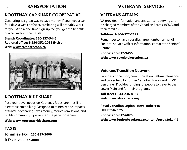## **TRANSPORTATION**

## **KOOTENAY CAR SHARE COOPERATIVE**

Carsharing is a great way to save money. If you need a car four days a week or fewer, carsharing will probably work for you. With a one-time sign-up fee, you get the benefits of a car without the hassle.

#### **Branch Coordinator: 250-837-5445 Regional office: 1-250-352-2033 (Nelson) Web: www.carsharecoop.ca**



## **KOOTENAY RIDE SHARE**

Post your travel needs on Kootenay Rideshare – it's like electronic hitchhiking! Designed to minimize the impacts of travel, ridesharing saves money, reduces emissions, and builds community. Special website page for seniors.

#### **Web: www.kootenayrideshare.com**

**TAXIS Johnnie's Taxi: 250-837-3000 R Taxi: 250-837-4000**

## **VETERANS AFFAIRS**

VA provides information and assistance to serving and discharged members of the Canadian Forces, RCMP, and their families.

#### **Toll-free: 1-866-522-2122**

Remember to have your discharge number on hand! For local Service Officer information, contact the Seniors' Centre:

**Phone: 250-837-9456 Web: www.revelstokeseniors.ca**

#### **Veterans Transition Network**

Provides connection, communication, self-maintenance and career help for former Canadian Forces and RCMP personnel. Provides funding for people to travel to the Lower Mainland for their programs.

**Toll-free: 1-844-236-8387 Web: www.vtncanada.org**

**Royal Canadian Legion - Revelstoke #46** 600 1st Street W.

**Phone: 250-837-6020 Web: www.legionbcyukon.ca/content/revelstoke-46**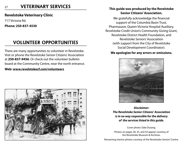#### *<sup>57</sup>* **This guide was produced by the Revelstoke VETERINARY SERVICES**

#### **Revelstoke Veterinary Clinic**

717 Victoria Rd.

**Phone: 250-837-4530**

## **VOLUNTEER OPPORTUNITIES**

There are many opportunities to volunteer in Revelstoke. Visit or phone the Revelstoke Senior Citizens' Association at **250-837-9456**. Or check out the volunteer bulletin board at the Community Centre, near the north entrance.

#### **Web: www.revelstokecf.com/volunteers**



# **Senior Citizens' Association.**

We gratefully acknowledge the financial support of the Columbia Basin Trust, Pharmasave, Queen Victoria Hospital Auxiliary, Revelstoke Credit Union's Community Giving Grant, Revelstoke District Health Foundation, and Revelstoke Seniors' Association (with support from the City of Revelstoke Social Development Coordinator).

#### **We apologize for any errors or omissions.**



*Disclaimer: The Revelstoke Senior Citizens' Association is in no way responsible for the delivery of the services listed in this guide.*

Cover photo: Dale Dusang.

Photos on pages 28, 35, and 54 appear courtesy of the Revelstoke Museum & Archives.

Remaining interior photos courtesy of the Revelstoke Seniors' Centre.